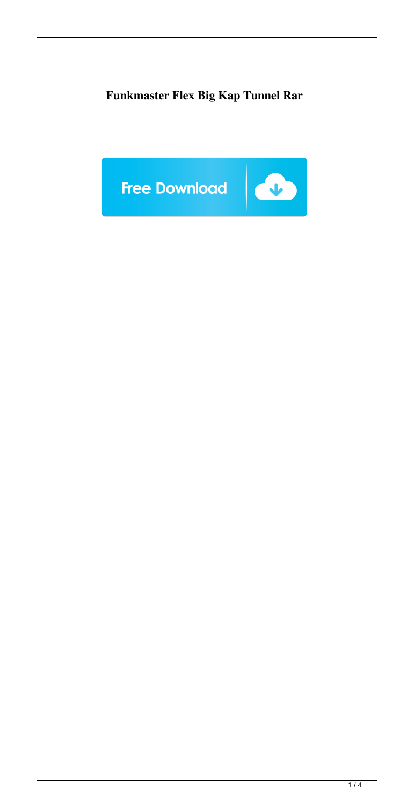## **Funkmaster Flex Big Kap Tunnel Rar**

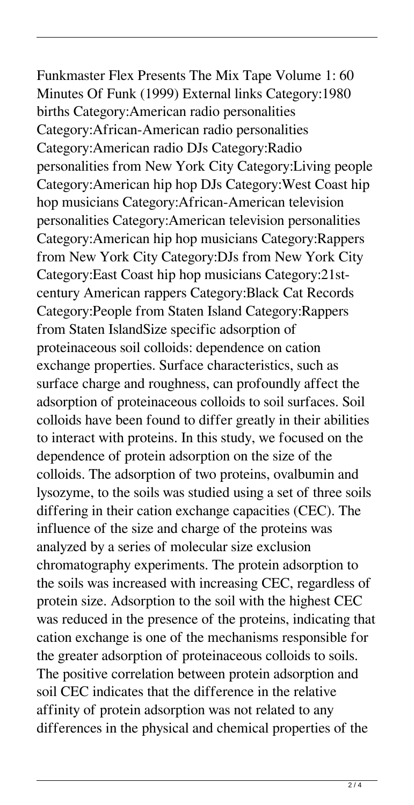Funkmaster Flex Presents The Mix Tape Volume 1: 60 Minutes Of Funk (1999) External links Category:1980 births Category:American radio personalities Category:African-American radio personalities Category:American radio DJs Category:Radio personalities from New York City Category:Living people Category:American hip hop DJs Category:West Coast hip hop musicians Category:African-American television personalities Category:American television personalities Category:American hip hop musicians Category:Rappers from New York City Category:DJs from New York City Category:East Coast hip hop musicians Category:21stcentury American rappers Category:Black Cat Records Category:People from Staten Island Category:Rappers from Staten IslandSize specific adsorption of proteinaceous soil colloids: dependence on cation exchange properties. Surface characteristics, such as surface charge and roughness, can profoundly affect the adsorption of proteinaceous colloids to soil surfaces. Soil colloids have been found to differ greatly in their abilities to interact with proteins. In this study, we focused on the dependence of protein adsorption on the size of the colloids. The adsorption of two proteins, ovalbumin and lysozyme, to the soils was studied using a set of three soils differing in their cation exchange capacities (CEC). The influence of the size and charge of the proteins was analyzed by a series of molecular size exclusion chromatography experiments. The protein adsorption to the soils was increased with increasing CEC, regardless of protein size. Adsorption to the soil with the highest CEC was reduced in the presence of the proteins, indicating that cation exchange is one of the mechanisms responsible for the greater adsorption of proteinaceous colloids to soils. The positive correlation between protein adsorption and soil CEC indicates that the difference in the relative affinity of protein adsorption was not related to any differences in the physical and chemical properties of the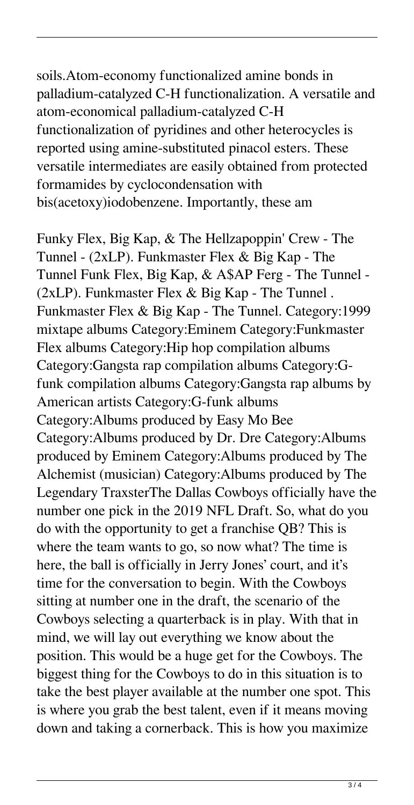soils.Atom-economy functionalized amine bonds in palladium-catalyzed C-H functionalization. A versatile and atom-economical palladium-catalyzed C-H functionalization of pyridines and other heterocycles is reported using amine-substituted pinacol esters. These versatile intermediates are easily obtained from protected formamides by cyclocondensation with bis(acetoxy)iodobenzene. Importantly, these am

Funky Flex, Big Kap, & The Hellzapoppin' Crew - The Tunnel - (2xLP). Funkmaster Flex & Big Kap - The Tunnel Funk Flex, Big Kap, & A\$AP Ferg - The Tunnel - (2xLP). Funkmaster Flex & Big Kap - The Tunnel . Funkmaster Flex & Big Kap - The Tunnel. Category:1999 mixtape albums Category:Eminem Category:Funkmaster Flex albums Category:Hip hop compilation albums Category:Gangsta rap compilation albums Category:Gfunk compilation albums Category:Gangsta rap albums by American artists Category:G-funk albums Category:Albums produced by Easy Mo Bee Category:Albums produced by Dr. Dre Category:Albums produced by Eminem Category:Albums produced by The Alchemist (musician) Category:Albums produced by The Legendary TraxsterThe Dallas Cowboys officially have the number one pick in the 2019 NFL Draft. So, what do you do with the opportunity to get a franchise QB? This is where the team wants to go, so now what? The time is here, the ball is officially in Jerry Jones' court, and it's time for the conversation to begin. With the Cowboys sitting at number one in the draft, the scenario of the Cowboys selecting a quarterback is in play. With that in mind, we will lay out everything we know about the position. This would be a huge get for the Cowboys. The biggest thing for the Cowboys to do in this situation is to take the best player available at the number one spot. This is where you grab the best talent, even if it means moving down and taking a cornerback. This is how you maximize